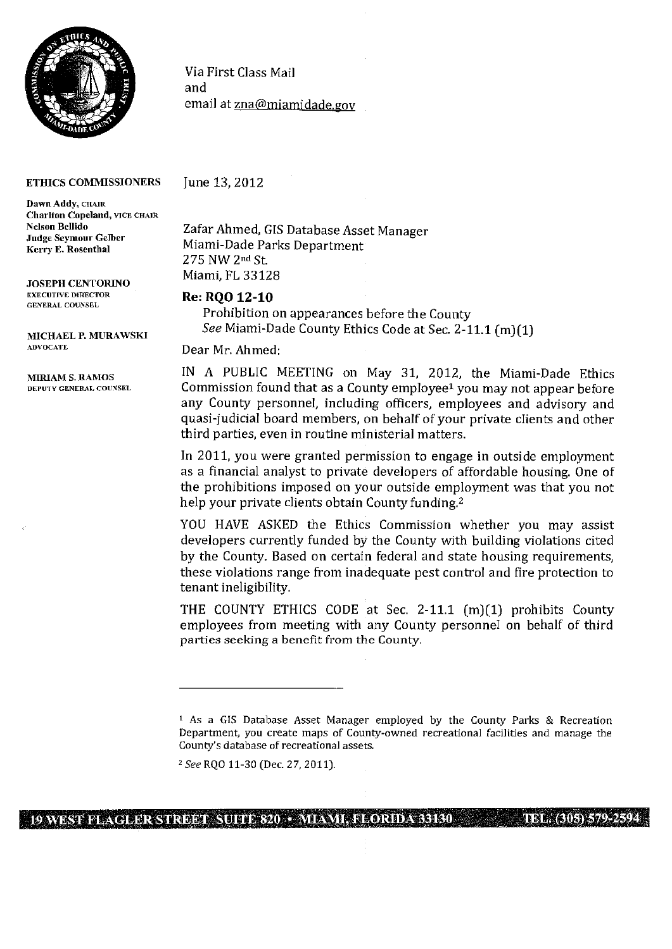

## Via First Class Mail and email at zna@miamidade.gov

## ETHICS COMMISSIONERS

Dawn Addy, CHAIR Chariton Copeland, VICE CHAIR Nelson Bellido Judge Seymour Gelber Kerry F. Rosenthal

JOSEPH CENTORINO EXECUTIVE DIRECTOR GENERAL COUNSEL

MICHAEL P. MURAWSKI ADVOCATE

June 13, 2012

Zafar Ahmed, GIS Database Asset Manager Miami-Dade Parks Department 275 NW 2nd St. Miami, FL 33128

## *Re: RQO 12-10*

Prohibition on appearances before the County *See* Miami-Dade County Ethics Code at Sec. 2-11.1 (m)(1)

Dear Mr. Ahmed:

MIRIAM S. RAMOS IN A PUBLIC MEETING on May 31, 2012, the Miami-Dade Ethics<br>
DEPUTY GENERAL COUNSEL Commission found that as a County employee<sup>1</sup> you may not annear before Commission found that as a County employee<sup>1</sup> you may not appear before any County personnel, including officers, employees and advisory and quasi-judicial board members, on behalf of your private clients and other third parties, even in routine ministerial matters.

> In 2011, you were granted permission to engage in outside employment as a financial analyst to private developers of affordable housing. One of the prohibitions imposed on your outside employment was that you not help your private clients obtain County funding.<sup>2</sup>

> YOU HAVE ASKED the Ethics Commission whether you may assist developers currently funded by the County with building violations cited by the County. Based on certain federal and state housing requirements, these violations range from inadequate pest control and fire protection to tenant ineligibility.

> THE COUNTY ETHICS CODE at Sec. 2-11.1 (m)(1) prohibits County employees from meeting with any County personnel on behalf of third parties seeking a benefit from the County.

<sup>2</sup>See RQO 11-30 (Dec. 27, 2011).

## **I 19%%ESTFLAGLERSTREET SUITE 820• MI4ISll., FLORIDA 33130 TEL.(305)579-2594 <sup>I</sup>**

 $1$  As a GIS Database Asset Manager employed by the County Parks & Recreation Department, you create maps of County-owned recreational facilities and manage the County's database of recreational assets.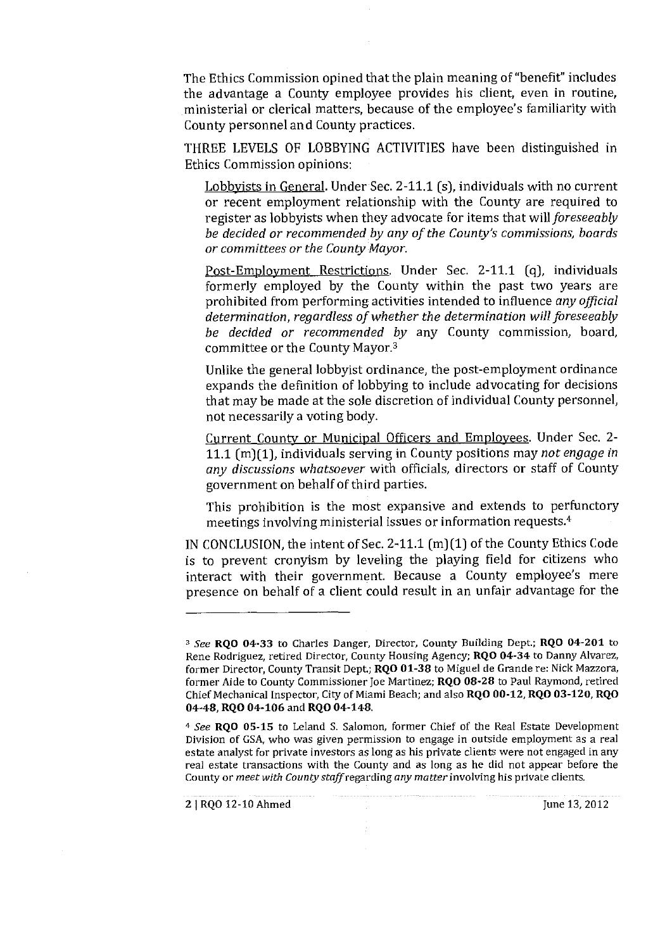The Ethics Commission opined that the plain meaning of "benefit" includes the advantage a County employee provides his client, even in routine, ministerial or clerical matters, because of the employee's familiarity with County personnel and County practices.

THREE LEVELS OF LOBBYING ACTIVITIES have been distinguished in Ethics Commission opinions:

Lobbyists in General. Under Sec. 2-11.1 (s), individuals with no current or recent employment relationship with the County are required to register as lobbyists when they advocate for items that *will foreseeobly be decided or recommended by any of the County's commissions, boards or committees or the County Mayor.* 

Post-Employment Restrictions. Under Sec. 2-11.1 (q), individuals formerly employed by the County within the past two years are prohibited from performing activities intended to influence *any official determination, regardless of whether the determination will foreseeably be decided or recommended by* any County commission, board, committee or the County Mayor.3

Unlike the general lobbyist ordinance, the post-employment ordinance expands the definition of lobbying to include advocating for decisions that may be made at the sole discretion of individual County personnel, not necessarily a voting body.

Current County or Municipal Officers and Employees. Under Sec. 2- 11.1 (m)(1), individuals serving in County positions may *not engage in*  any *discussions whatsoever* with officials, directors or staff of County government on behalf of third parties.

This prohibition is the most expansive and extends to perfunctory meetings involving ministerial issues or information requests.4

IN CONCLUSION, the intent of Sec. 2-11.1 (m)(1) of the County Ethics Code is to prevent cronyism by leveling the playing field for citizens who interact with their government. Because a County employee's mere presence on behalf of a client could result in an unfair advantage for the

**2** | RQO 12-10 Ahmed June 13, 2012

<sup>&</sup>lt;sup>3</sup> See **ROO 04-33** to Charles Danger, Director, County Building Dept.; **RQO 04-201** to Rene Rodriguez, retired Director, County Housing Agency; **RQO 04-34** to Danny Alvarez, former Director, County Transit Dept.; RQO 01-38 to Miguel de Grande re: Nick Mazzora, former Aide to County Commissioner Joe Martinez; RQO 08-28 to Paul Raymond, retired Chief Mechanical Inspector, City of Miami Beach; and also **RQO 00-12, RQO 03-120, RQO 04-48, RQO** 04-106 and **RQO 04-148.** 

<sup>4</sup>*See* RQO 05-15 to Leland S. Salomon, former Chief of the Real Estate Development Division of GSA, who was given permission to engage in outside employment as a real estate analyst for private investors as long as his private clients were not engaged in any real estate transactions with the County and as long as he did not appear before the County or *meet with County* staffregarding *any matter* involving his private clients.